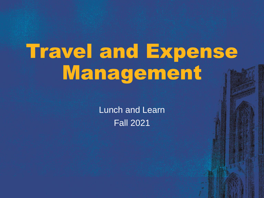# Travel and Expense Management

Lunch and Learn Fall 2021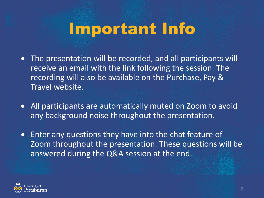# Important Info

- The presentation will be recorded, and all participants will receive an email with the link following the session. The recording will also be available on the Purchase, Pay & Travel website.
- All participants are automatically muted on Zoom to avoid any background noise throughout the presentation.
- Enter any questions they have into the chat feature of Zoom throughout the presentation. These questions will be answered during the Q&A session at the end.

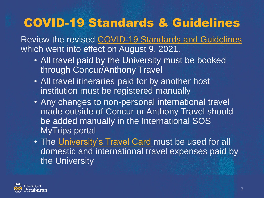## COVID-19 Standards & Guidelines

Review the revised [COVID-19 Standards and Guidelines](https://www.policy.pitt.edu/university-policies-and-procedures/covid-19-standards-and-guidelines) which went into effect on August 9, 2021.

- All travel paid by the University must be booked through Concur/Anthony Travel
- All travel itineraries paid for by another host institution must be registered manually
- Any changes to non-personal international travel made outside of Concur or Anthony Travel should be added manually in the International SOS MyTrips portal
- The [University's Travel Card](https://www.ppt.pitt.edu/payments-taxes/payment-methods/university-travel-card) must be used for all domestic and international travel expenses paid by the University

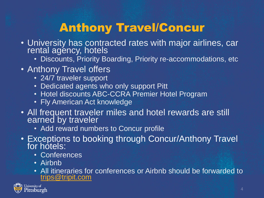## Anthony Travel/Concur

- University has contracted rates with major airlines, car rental agency, hotels
	- Discounts, Priority Boarding, Priority re-accommodations, etc
- Anthony Travel offers
	- 24/7 traveler support
	- Dedicated agents who only support Pitt
	- Hotel discounts ABC-CCRA Premier Hotel Program
	- Fly American Act knowledge
- All frequent traveler miles and hotel rewards are still earned by traveler
	- Add reward numbers to Concur profile
- Exceptions to booking through Concur/Anthony Travel for hotels:
	- Conferences
	- Airbnb
	- All itineraries for conferences or Airbnb should be forwarded to [trips@tripit.com](mailto:trips@tripit.com)

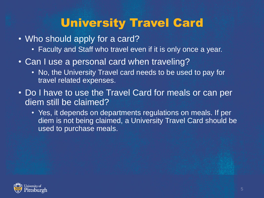#### University Travel Card

- Who should apply for a card?
	- Faculty and Staff who travel even if it is only once a year.
- Can I use a personal card when traveling?
	- No, the University Travel card needs to be used to pay for travel related expenses.
- Do I have to use the Travel Card for meals or can per diem still be claimed?
	- Yes, it depends on departments regulations on meals. If per diem is not being claimed, a University Travel Card should be used to purchase meals.

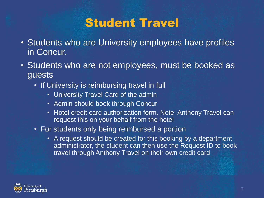#### Student Travel

- Students who are University employees have profiles in Concur.
- Students who are not employees, must be booked as guests
	- If University is reimbursing travel in full
		- University Travel Card of the admin
		- Admin should book through Concur
		- Hotel credit card authorization form. Note: Anthony Travel can request this on your behalf from the hotel
	- For students only being reimbursed a portion
		- A request should be created for this booking by a department administrator, the student can then use the Request ID to book travel through Anthony Travel on their own credit card

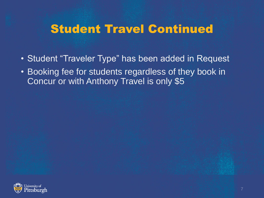#### Student Travel Continued

- Student "Traveler Type" has been added in Request
- Booking fee for students regardless of they book in Concur or with Anthony Travel is only \$5

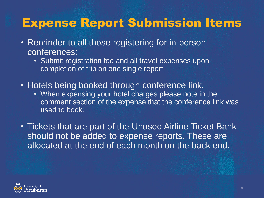#### Expense Report Submission Items

- Reminder to all those registering for in-person conferences:
	- Submit registration fee and all travel expenses upon completion of trip on one single report
- Hotels being booked through conference link.
	- When expensing your hotel charges please note in the comment section of the expense that the conference link was used to book.
- Tickets that are part of the Unused Airline Ticket Bank should not be added to expense reports. These are allocated at the end of each month on the back end.

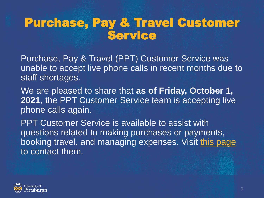#### Purchase, Pay & Travel Customer Service

Purchase, Pay & Travel (PPT) Customer Service was unable to accept live phone calls in recent months due to staff shortages.

We are pleased to share that **as of Friday, October 1, 2021**, the PPT Customer Service team is accepting live phone calls again.

PPT Customer Service is available to assist with questions related to making purchases or payments, booking travel, and managing expenses. Visit [this page](https://www.ppt.pitt.edu/help-training/contact-us) to contact them.

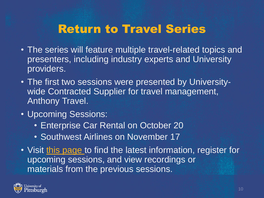#### Return to Travel Series

- The series will feature multiple travel-related topics and presenters, including industry experts and University providers.
- The first two sessions were presented by Universitywide Contracted Supplier for travel management, Anthony Travel.
- Upcoming Sessions:
	- Enterprise Car Rental on October 20
	- Southwest Airlines on November 17
- Visit [this page](https://www.ppt.pitt.edu/news/youre-invited-return-travel-virtual-series) to find the latest information, register for upcoming sessions, and view recordings or materials from the previous sessions.

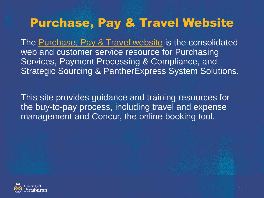#### Purchase, Pay & Travel Website

The [Purchase, Pay & Travel website](http://www.ppt.pitt.edu/) is the consolidated web and customer service resource for Purchasing Services, Payment Processing & Compliance, and Strategic Sourcing & PantherExpress System Solutions.

This site provides guidance and training resources for the buy-to-pay process, including travel and expense management and Concur, the online booking tool.